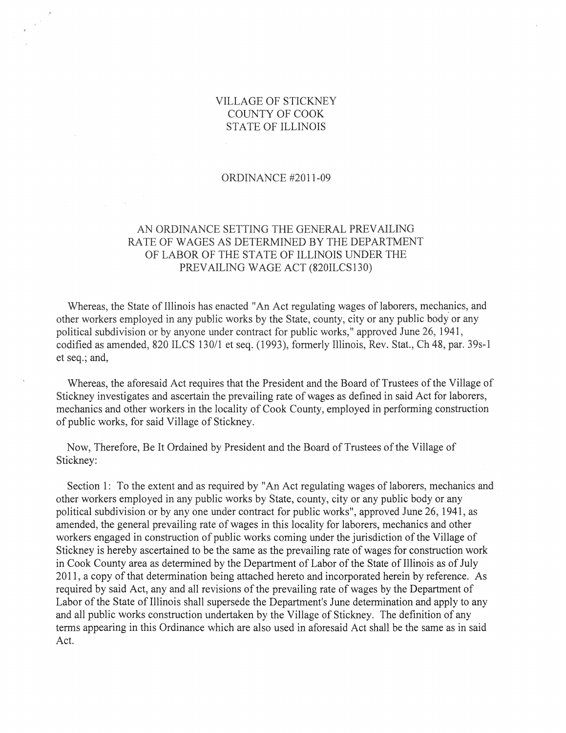### VILLAGE OF STICKNEY COUNTY OF COOK STATE OF ILLINOIS

#### ORDINANCE #2011-09

# AN ORDINANCE SETTING THE GENERAL PREVAILING RATE OF WAGES AS DETERMINED BY THE DEPARTMENT OF LABOR OF THE STATE OF ILLINOIS UNDER THE PREVAILING WAGE ACT (820ILCSI30)

Whereas, the State of Illinois has enacted "An Act regulating wages of laborers, mechanics, and other workers employed in any public works by the State, county, city or any public body or any political subdivision or by anyone under contract for public works," approved June 26, 1941, codified as amended, 820 ILCS 130/1 et seq. (1993), formerly Illinois, Rev. Stat., Ch 48, par. 39s-1 et seq.; and,

Whereas, the aforesaid Act requires that the President and the Board of Trustees of the Village of Stickney investigates and ascertain the prevailing rate of wages as defined in said Act for laborers, mechanics and other workers in the locality of Cook County, employed in performing construction of public works, for said Village of Stickney.

Now, Therefore, Be It Ordained by President and the Board of Trustees of the Village of Stickney:

Section 1: To the extent and as required by "An Act regulating wages of laborers, mechanics and other workers employed in any public works by State, county, city or any public body or any political subdivision or by anyone under contract for public works", approved June 26, 1941, as amended, the general prevailing rate of wages in this locality for laborers, mechanics and other workers engaged in construction of public works coming under the jurisdiction of the Village of Stickney is hereby ascertained to be the same as the prevailing rate of wages for construction work in Cook County area as determined by the Department of Labor of the State of Illinois as of July 2011, a copy of that determination being attached hereto and incorporated herein by reference. As required by said Act, any and all revisions of the prevailing rate of wages by the Department of Labor of the State of Illinois shall supersede the Department's June determination and apply to any and all public works construction undertaken by the Village of Stickney. The definition of any terms appearing in this Ordinance which are also used in aforesaid Act shall be the same as in said Act.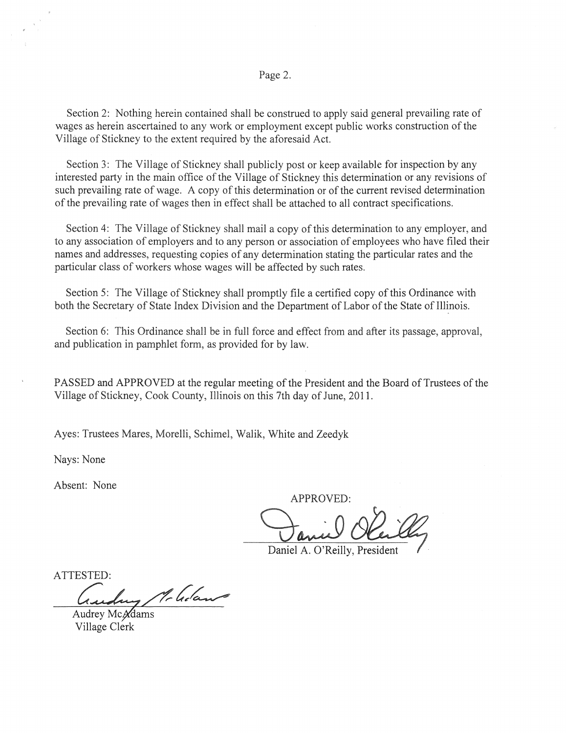Section 2: Nothing herein contained shall be construed to apply said general prevailing rate of wages as herein ascertained to any work or employment except public works construction of the Village of Stickney to the extent required by the aforesaid Act.

Section 3: The Village of Stickney shall publicly post or keep available for inspection by any interested party in the main office of the Village of Stickney this determination or any revisions of such prevailing rate of wage. A copy of this determination or of the current revised determination of the prevailing rate of wages then in effect shall be attached to all contract specifications.

Section 4: The Village of Stickney shall mail a copy of this determination to any employer, and to any association of employers and to any person or association of employees who have filed their names and addresses, requesting copies of any determination stating the particular rates and the particular class of workers whose wages will be affected by such rates.

Section 5: The Village of Stickney shall promptly file a certified copy of this Ordinance with both the Secretary of State Index Division and the Department of Labor of the State of Illinois.

Section 6: This Ordinance shall be in full force and effect from and after its passage, approval, and publication in pamphlet form, as provided for by law.

PASSED and APPROVED at the regular meeting of the President and the Board of Trustees of the Village of Stickney, Cook County, Illinois on this 7th day of June, 2011.

Ayes: Trustees Mares, Morelli, Schimel, Walik, White and Zeedyk

Nays: None

Absent: None

APPROVED:

Daniel A. O'Reilly, President

ATTESTED:

Mc Golan

Audrey McAdams Village Clerk